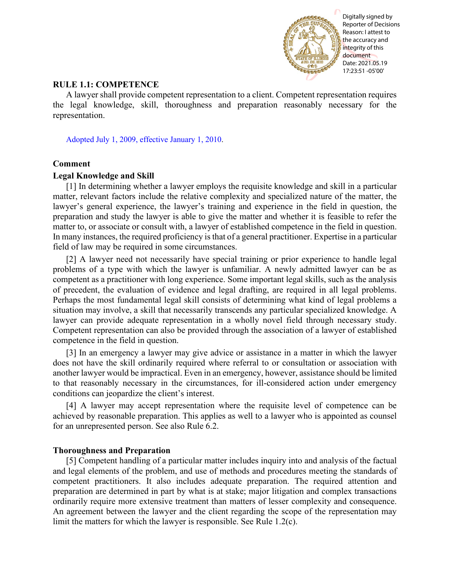

Reporter of Decisions Reason: I attest to the accuracy and integrity of this document Date: 2021.05.19 17:23:51 -05'00'

# **RULE 1.1: COMPETENCE**

A lawyer shall provide competent representation to a client. Competent representation requires the legal knowledge, skill, thoroughness and preparation reasonably necessary for the representation.

[Adopted July 1, 2009, effective January 1, 2010.](http://www.illinoiscourts.gov/files/070109.pdf/amendment)

## **Comment**

## **Legal Knowledge and Skill**

[1] In determining whether a lawyer employs the requisite knowledge and skill in a particular matter, relevant factors include the relative complexity and specialized nature of the matter, the lawyer's general experience, the lawyer's training and experience in the field in question, the preparation and study the lawyer is able to give the matter and whether it is feasible to refer the matter to, or associate or consult with, a lawyer of established competence in the field in question. In many instances, the required proficiency is that of a general practitioner. Expertise in a particular field of law may be required in some circumstances.

[2] A lawyer need not necessarily have special training or prior experience to handle legal problems of a type with which the lawyer is unfamiliar. A newly admitted lawyer can be as competent as a practitioner with long experience. Some important legal skills, such as the analysis of precedent, the evaluation of evidence and legal drafting, are required in all legal problems. Perhaps the most fundamental legal skill consists of determining what kind of legal problems a situation may involve, a skill that necessarily transcends any particular specialized knowledge. A lawyer can provide adequate representation in a wholly novel field through necessary study. Competent representation can also be provided through the association of a lawyer of established competence in the field in question. **RULE 1.1: COMPETENCE**<br> **RULE 1.1: COMPETENCE**<br> **RULE IT: COMPETENCE**<br> **A lawyer shall provide compresent representation to a client. Competent representation require<br>**  $\frac{1}{2}$  **consideration.<br>
A lawyer shall provide compr** 

[3] In an emergency a lawyer may give advice or assistance in a matter in which the lawyer does not have the skill ordinarily required where referral to or consultation or association with another lawyer would be impractical. Even in an emergency, however, assistance should be limited to that reasonably necessary in the circumstances, for ill-considered action under emergency conditions can jeopardize the client's interest.

[4] A lawyer may accept representation where the requisite level of competence can be achieved by reasonable preparation. This applies as well to a lawyer who is appointed as counsel for an unrepresented person. See also Rule 6.2.

## **Thoroughness and Preparation**

[5] Competent handling of a particular matter includes inquiry into and analysis of the factual and legal elements of the problem, and use of methods and procedures meeting the standards of competent practitioners. It also includes adequate preparation. The required attention and preparation are determined in part by what is at stake; major litigation and complex transactions ordinarily require more extensive treatment than matters of lesser complexity and consequence. An agreement between the lawyer and the client regarding the scope of the representation may